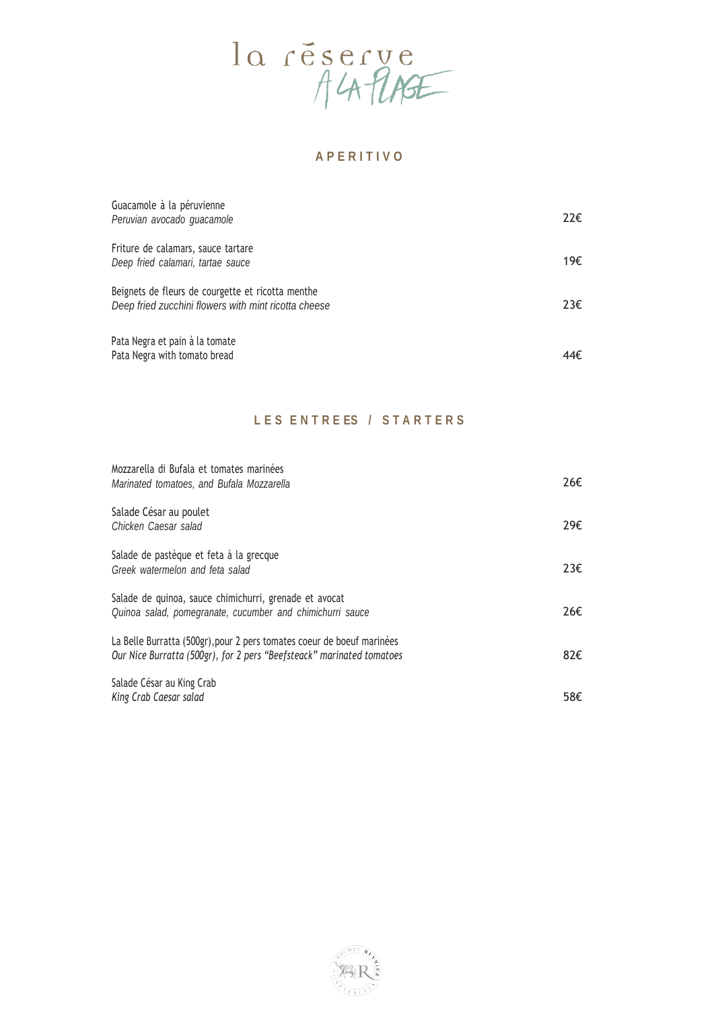

### **A P E R I T I V O**

| Guacamole à la péruvienne<br>Peruvian avocado guacamole                                                   | $22 \epsilon$ |
|-----------------------------------------------------------------------------------------------------------|---------------|
| Friture de calamars, sauce tartare<br>Deep fried calamari, tartae sauce                                   | 19€           |
| Beignets de fleurs de courgette et ricotta menthe<br>Deep fried zucchini flowers with mint ricotta cheese | 23E           |
| Pata Negra et pain à la tomate<br>Pata Negra with tomato bread                                            | 44€.          |

## **L E S E N T R E ES / S T A R T E R S**

| Mozzarella di Bufala et tomates marinées<br>Marinated tomatoes, and Bufala Mozzarella                                                           | 26€ |
|-------------------------------------------------------------------------------------------------------------------------------------------------|-----|
| Salade César au poulet<br>Chicken Caesar salad                                                                                                  | 29€ |
| Salade de pastèque et feta à la grecque<br>Greek watermelon and feta salad                                                                      | 23E |
| Salade de quinoa, sauce chimichurri, grenade et avocat<br>Quinoa salad, pomegranate, cucumber and chimichurri sauce                             | 26€ |
| La Belle Burratta (500gr), pour 2 pers tomates coeur de boeuf marinées<br>Our Nice Burratta (500gr), for 2 pers "Beefsteack" marinated tomatoes | 82€ |
| Salade César au King Crab<br>King Crab Caesar salad                                                                                             | 58€ |

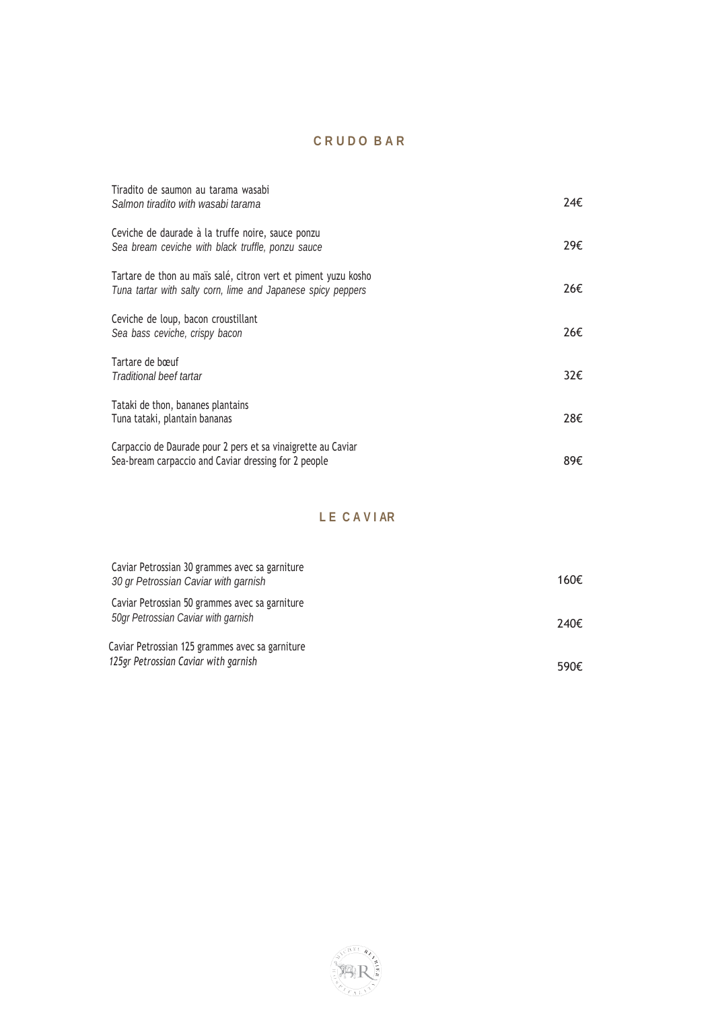# **C R U D O B A R**

| Tiradito de saumon au tarama wasabi<br>Salmon tiradito with wasabi tarama                                                      | 24€ |
|--------------------------------------------------------------------------------------------------------------------------------|-----|
| Ceviche de daurade à la truffe noire, sauce ponzu<br>Sea bream ceviche with black truffle, ponzu sauce                         | 29€ |
| Tartare de thon au maïs salé, citron vert et piment yuzu kosho<br>Tuna tartar with salty corn, lime and Japanese spicy peppers | 26€ |
| Ceviche de loup, bacon croustillant<br>Sea bass ceviche, crispy bacon                                                          | 26€ |
| Tartare de bœuf<br>Traditional beef tartar                                                                                     | 32€ |
| Tataki de thon, bananes plantains<br>Tuna tataki, plantain bananas                                                             | 28€ |
| Carpaccio de Daurade pour 2 pers et sa vinaigrette au Caviar<br>Sea-bream carpaccio and Caviar dressing for 2 people           | 89€ |

## **L E C A V I AR**

| Caviar Petrossian 30 grammes avec sa garniture<br>30 gr Petrossian Caviar with garnish  | 160€ |
|-----------------------------------------------------------------------------------------|------|
| Caviar Petrossian 50 grammes avec sa garniture<br>50gr Petrossian Caviar with garnish   | 240€ |
| Caviar Petrossian 125 grammes avec sa garniture<br>125gr Petrossian Caviar with garnish | 590€ |

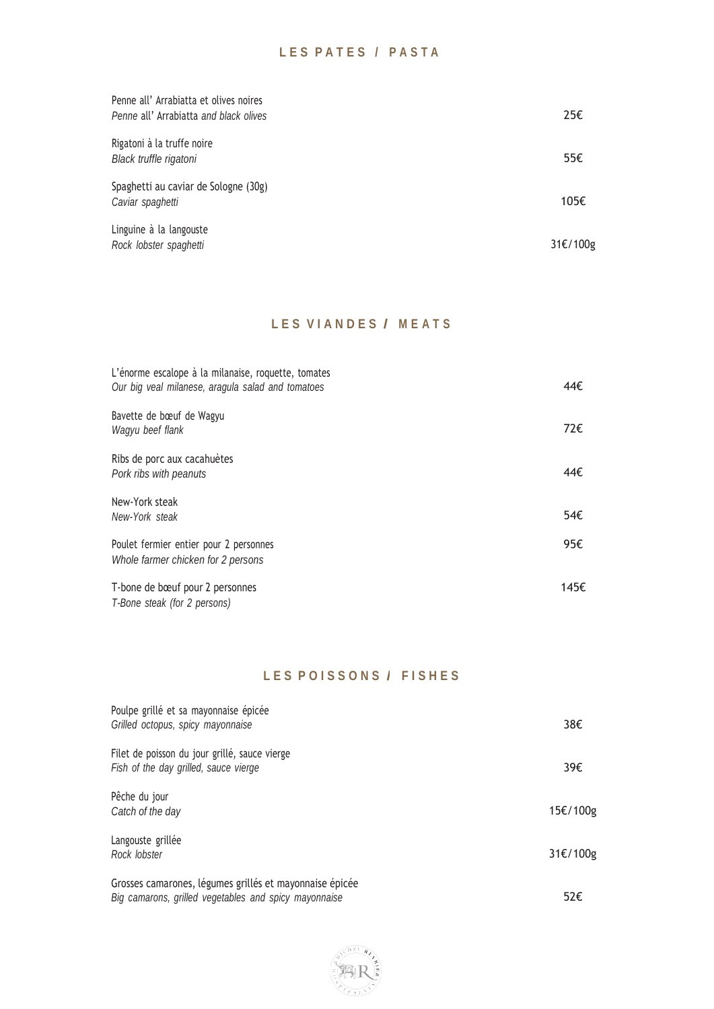| Penne all' Arrabiatta et olives noires<br>Penne all' Arrabiatta and black olives | 25€      |
|----------------------------------------------------------------------------------|----------|
| Rigatoni à la truffe noire<br>Black truffle rigatoni                             | 55€      |
| Spaghetti au caviar de Sologne (30g)<br>Caviar spaghetti                         | 105€     |
| Linguine à la langouste<br>Rock lobster spaghetti                                | 31€/100g |

# **L E S V I A N D E S / <sup>M</sup> <sup>E</sup> <sup>A</sup> <sup>T</sup> <sup>S</sup>**

| L'énorme escalope à la milanaise, roquette, tomates<br>Our big veal milanese, aragula salad and tomatoes | 44€  |
|----------------------------------------------------------------------------------------------------------|------|
| Bavette de bœuf de Wagyu<br>Wagyu beef flank                                                             | 72€  |
| Ribs de porc aux cacahuètes<br>Pork ribs with peanuts                                                    | 44€  |
| New-York steak<br>New-York steak                                                                         | 54€  |
| Poulet fermier entier pour 2 personnes<br>Whole farmer chicken for 2 persons                             | 95€  |
| T-bone de bœuf pour 2 personnes<br>T-Bone steak (for 2 persons)                                          | 145€ |

## **LESPOISSONS/FISHES**

| Poulpe grillé et sa mayonnaise épicée<br>Grilled octopus, spicy mayonnaise                                       | 38€      |
|------------------------------------------------------------------------------------------------------------------|----------|
| Filet de poisson du jour grillé, sauce vierge<br>Fish of the day grilled, sauce vierge                           | 39€      |
| Pêche du jour<br>Catch of the day                                                                                | 15€/100g |
| Langouste grillée<br>Rock lobster                                                                                | 31€/100g |
| Grosses camarones, légumes grillés et mayonnaise épicée<br>Big camarons, grilled vegetables and spicy mayonnaise | 52€      |